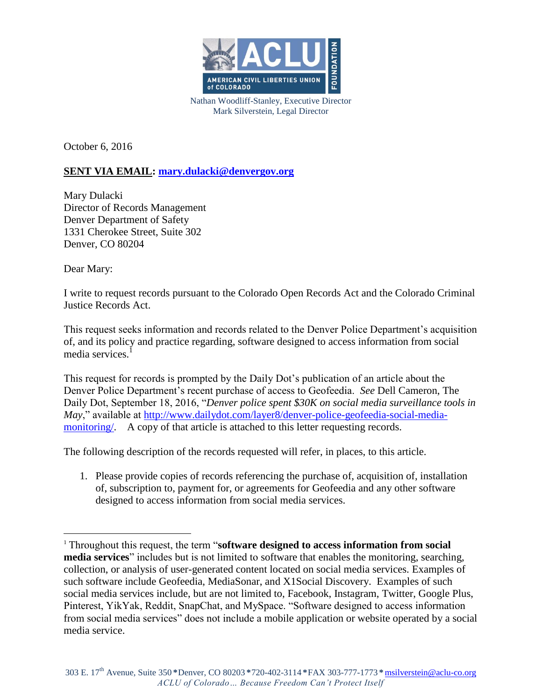

Nathan Woodliff-Stanley, Executive Director Mark Silverstein, Legal Director

October 6, 2016

## **SENT VIA EMAIL: [mary.dulacki@denvergov.org](mailto:mary.dulacki@denvergov.org)**

Mary Dulacki Director of Records Management Denver Department of Safety 1331 Cherokee Street, Suite 302 Denver, CO 80204

Dear Mary:

 $\overline{a}$ 

I write to request records pursuant to the Colorado Open Records Act and the Colorado Criminal Justice Records Act.

This request seeks information and records related to the Denver Police Department's acquisition of, and its policy and practice regarding, software designed to access information from social media services.<sup>1</sup>

This request for records is prompted by the Daily Dot's publication of an article about the Denver Police Department's recent purchase of access to Geofeedia. *See* Dell Cameron, The Daily Dot, September 18, 2016, "*Denver police spent \$30K on social media surveillance tools in May*," available at [http://www.dailydot.com/layer8/denver-police-geofeedia-social-media](http://www.dailydot.com/layer8/denver-police-geofeedia-social-media-monitoring/)monitoring. A copy of that article is attached to this letter requesting records.

The following description of the records requested will refer, in places, to this article.

1. Please provide copies of records referencing the purchase of, acquisition of, installation of, subscription to, payment for, or agreements for Geofeedia and any other software designed to access information from social media services.

<sup>1</sup> Throughout this request, the term "**software designed to access information from social media services**" includes but is not limited to software that enables the monitoring, searching, collection, or analysis of user-generated content located on social media services. Examples of such software include Geofeedia, MediaSonar, and X1Social Discovery. Examples of such social media services include, but are not limited to, Facebook, Instagram, Twitter, Google Plus, Pinterest, YikYak, Reddit, SnapChat, and MySpace. "Software designed to access information from social media services" does not include a mobile application or website operated by a social media service.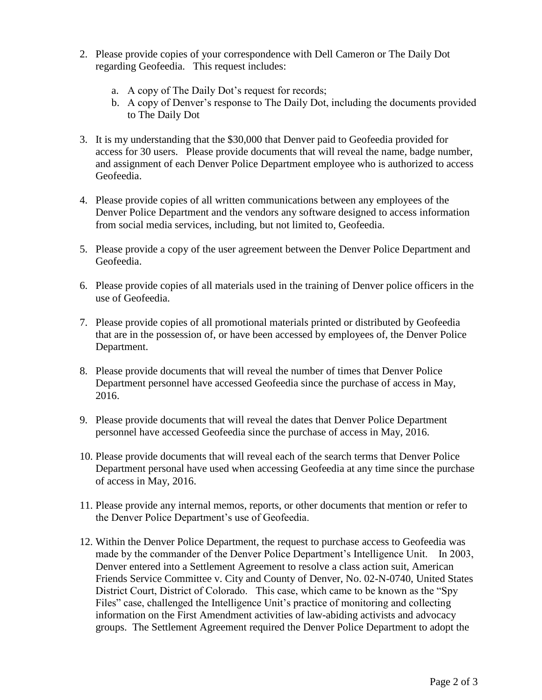- 2. Please provide copies of your correspondence with Dell Cameron or The Daily Dot regarding Geofeedia. This request includes:
	- a. A copy of The Daily Dot's request for records;
	- b. A copy of Denver's response to The Daily Dot, including the documents provided to The Daily Dot
- 3. It is my understanding that the \$30,000 that Denver paid to Geofeedia provided for access for 30 users. Please provide documents that will reveal the name, badge number, and assignment of each Denver Police Department employee who is authorized to access Geofeedia.
- 4. Please provide copies of all written communications between any employees of the Denver Police Department and the vendors any software designed to access information from social media services, including, but not limited to, Geofeedia.
- 5. Please provide a copy of the user agreement between the Denver Police Department and Geofeedia.
- 6. Please provide copies of all materials used in the training of Denver police officers in the use of Geofeedia.
- 7. Please provide copies of all promotional materials printed or distributed by Geofeedia that are in the possession of, or have been accessed by employees of, the Denver Police Department.
- 8. Please provide documents that will reveal the number of times that Denver Police Department personnel have accessed Geofeedia since the purchase of access in May, 2016.
- 9. Please provide documents that will reveal the dates that Denver Police Department personnel have accessed Geofeedia since the purchase of access in May, 2016.
- 10. Please provide documents that will reveal each of the search terms that Denver Police Department personal have used when accessing Geofeedia at any time since the purchase of access in May, 2016.
- 11. Please provide any internal memos, reports, or other documents that mention or refer to the Denver Police Department's use of Geofeedia.
- 12. Within the Denver Police Department, the request to purchase access to Geofeedia was made by the commander of the Denver Police Department's Intelligence Unit. In 2003, Denver entered into a Settlement Agreement to resolve a class action suit, American Friends Service Committee v. City and County of Denver, No. 02-N-0740, United States District Court, District of Colorado. This case, which came to be known as the "Spy Files" case, challenged the Intelligence Unit's practice of monitoring and collecting information on the First Amendment activities of law-abiding activists and advocacy groups. The Settlement Agreement required the Denver Police Department to adopt the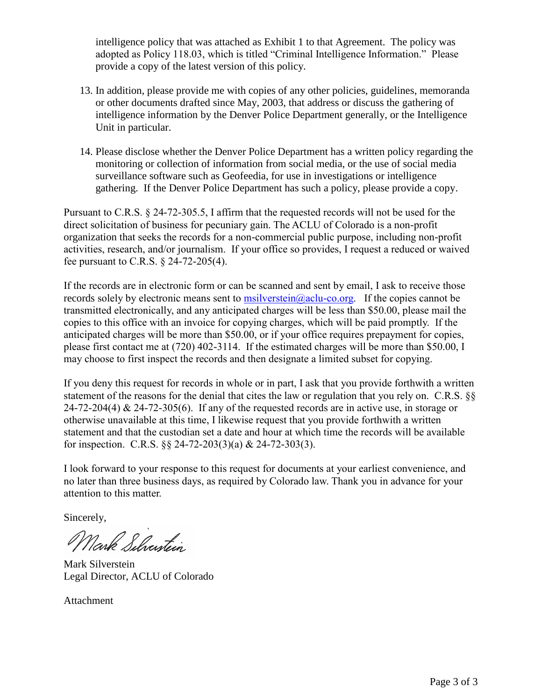intelligence policy that was attached as Exhibit 1 to that Agreement. The policy was adopted as Policy 118.03, which is titled "Criminal Intelligence Information." Please provide a copy of the latest version of this policy.

- 13. In addition, please provide me with copies of any other policies, guidelines, memoranda or other documents drafted since May, 2003, that address or discuss the gathering of intelligence information by the Denver Police Department generally, or the Intelligence Unit in particular.
- 14. Please disclose whether the Denver Police Department has a written policy regarding the monitoring or collection of information from social media, or the use of social media surveillance software such as Geofeedia, for use in investigations or intelligence gathering. If the Denver Police Department has such a policy, please provide a copy.

Pursuant to C.R.S. § 24-72-305.5, I affirm that the requested records will not be used for the direct solicitation of business for pecuniary gain. The ACLU of Colorado is a non-profit organization that seeks the records for a non-commercial public purpose, including non-profit activities, research, and/or journalism. If your office so provides, I request a reduced or waived fee pursuant to C.R.S. § 24-72-205(4).

If the records are in electronic form or can be scanned and sent by email, I ask to receive those records solely by electronic means sent to [msilverstein@aclu-co.org.](mailto:msilverstein@aclu-co.org) If the copies cannot be transmitted electronically, and any anticipated charges will be less than \$50.00, please mail the copies to this office with an invoice for copying charges, which will be paid promptly. If the anticipated charges will be more than \$50.00, or if your office requires prepayment for copies, please first contact me at (720) 402-3114. If the estimated charges will be more than \$50.00, I may choose to first inspect the records and then designate a limited subset for copying.

If you deny this request for records in whole or in part, I ask that you provide forthwith a written statement of the reasons for the denial that cites the law or regulation that you rely on. C.R.S. §§ 24-72-204(4)  $\&$  24-72-305(6). If any of the requested records are in active use, in storage or otherwise unavailable at this time, I likewise request that you provide forthwith a written statement and that the custodian set a date and hour at which time the records will be available for inspection. C.R.S. §§ 24-72-203(3)(a) & 24-72-303(3).

I look forward to your response to this request for documents at your earliest convenience, and no later than three business days, as required by Colorado law. Thank you in advance for your attention to this matter.

Sincerely,

Mark Silventin

Mark Silverstein Legal Director, ACLU of Colorado

Attachment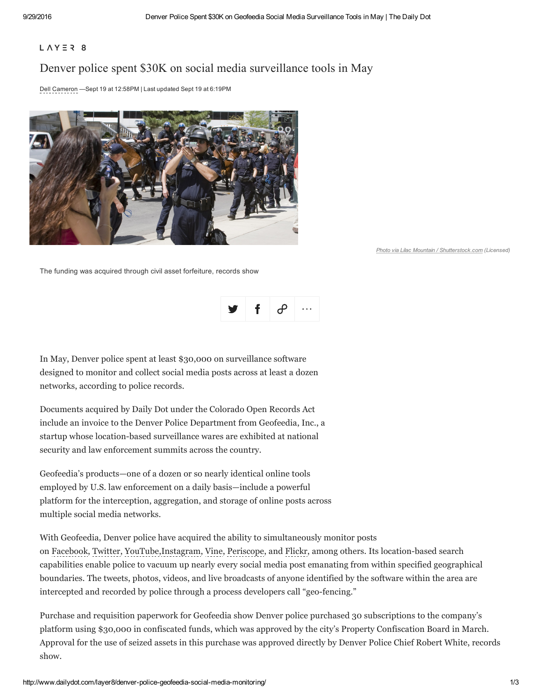## $L \wedge Y \equiv 28$

# Denver police spent \$30K on social media surveillance tools in May

Dell [Cameron](http://www.dailydot.com/authors/dell-cameron/) —Sept 19 at 12:58PM |Last updated Sept 19 at 6:19PM



*Photo via Lilac Mountain / [Shutterstock.com](http://www.shutterstock.com/pic-16545208/stock-photo-denver-august-25-a-police-officer-records-protesters-who-are-documenting-the-area-during-the-democratic-national-convention-august-25-2008-in-denver.html?src=bFbmqCBRl6hpBBNy9JGHRQ-1-7) (Licensed)*

The funding was acquired through civil asset forfeiture, records show



In May, Denver police spent at least \$30,000 on surveillance software designed to monitor and collect social media posts across at least a dozen networks, according to police records.

Documents acquired by Daily Dot under the Colorado Open Records Act include an invoice to the Denver Police Department from Geofeedia, Inc., a startup whose location-based surveillance wares are exhibited at national security and law enforcement summits across the country.

Geofeedia's products—one of a dozen or so nearly identical online tools employed by U.S. law enforcement on a daily basis—include a powerful platform for the interception, aggregation, and storage of online posts across multiple social media networks.

With Geofeedia, Denver police have acquired the ability to simultaneously monitor posts on [Facebook](http://dailydot.com/tags/facebook/), [Twitter,](http://dailydot.com/tags/twitter/) [YouTube,](http://dailydot.com/tags/youtube/)[Instagram,](http://dailydot.com/tags/instagram/) [Vine,](http://dailydot.com/tags/vine/) [Periscope,](http://dailydot.com/tags/periscope/) and [Flickr](http://dailydot.com/tags/flickr/), among others. Its location-based search capabilities enable police to vacuum up nearly every social media post emanating from within specified geographical boundaries. The tweets, photos, videos, and live broadcasts of anyone identified by the software within the area are intercepted and recorded by police through a process developers call "geo-fencing."

Purchase and requisition paperwork for Geofeedia show Denver police purchased 30 subscriptions to the company's platform using \$30,000 in confiscated funds, which was approved by the city's Property Confiscation Board in March. Approval for the use of seized assets in this purchase was approved directly by Denver Police Chief Robert White, records show.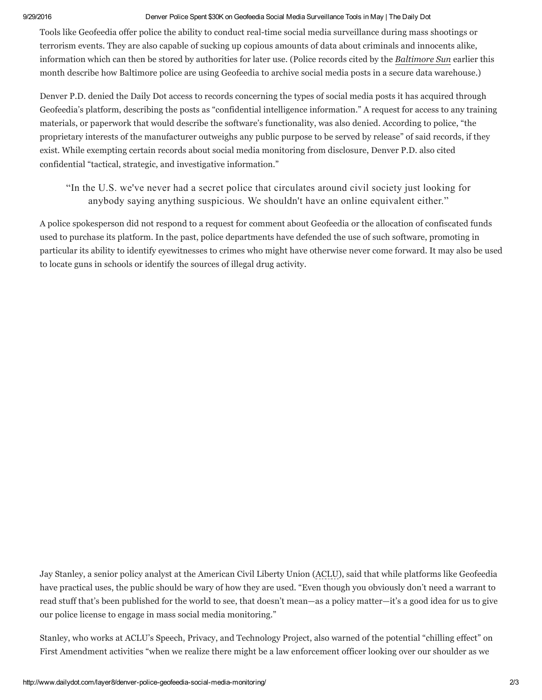### 9/29/2016 Denver Police Spent \$30K on Geofeedia Social Media Surveillance Tools in May | The Daily Dot

Tools like Geofeedia offer police the ability to conduct real-time social media surveillance during mass shootings or terrorism events. They are also capable of sucking up copious amounts of data about criminals and innocents alike, information which can then be stored by authorities for later use. (Police records cited by the [Baltimore](http://www.baltimoresun.com/news/maryland/investigations/bs-md-geofeedia-police-20160902-story.html) Sun earlier this month describe how Baltimore police are using Geofeedia to archive social media posts in a secure data warehouse.)

Denver P.D. denied the Daily Dot access to records concerning the types of social media posts it has acquired through Geofeedia's platform, describing the posts as "confidential intelligence information." A request for access to any training materials, or paperwork that would describe the software's functionality, was also denied. According to police, "the proprietary interests of the manufacturer outweighs any public purpose to be served by release" of said records, if they exist. While exempting certain records about social media monitoring from disclosure, Denver P.D. also cited confidential "tactical, strategic, and investigative information."

"In the U.S. we've never had a secret police that circulates around civil society just looking for anybody saying anything suspicious. We shouldn't have an online equivalent either."

A police spokesperson did not respond to a request for comment about Geofeedia or the allocation of confiscated funds used to purchase its platform. In the past, police departments have defended the use of such software, promoting in particular its ability to identify eyewitnesses to crimes who might have otherwise never come forward. It may also be used to locate guns in schools or identify the sources of illegal drug activity.

Jay Stanley, a senior policy analyst at the American Civil Liberty Union [\(ACLU\)](http://dailydot.com/tags/aclu/), said that while platforms like Geofeedia have practical uses, the public should be wary of how they are used. "Even though you obviously don't need a warrant to read stuff that's been published for the world to see, that doesn't mean—as a policy matter—it's a good idea for us to give our police license to engage in mass social media monitoring."

Stanley, who works at ACLU's Speech, Privacy, and Technology Project, also warned of the potential "chilling effect" on First Amendment activities "when we realize there might be a law enforcement officer looking over our shoulder as we